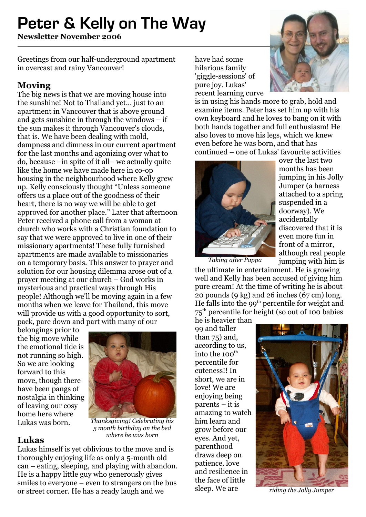# **Peter & Kelly on The Way**

**Newsletter November 2006**

Greetings from our half-underground apartment in overcast and rainy Vancouver!

## **Moving**

The big news is that we are moving house into the sunshine! Not to Thailand yet... just to an apartment in Vancouver that is above ground and gets sunshine in through the windows – if the sun makes it through Vancouver's clouds, that is. We have been dealing with mold, dampness and dimness in our current apartment for the last months and agonizing over what to do, because –in spite of it all– we actually quite like the home we have made here in co-op housing in the neighbourhood where Kelly grew up. Kelly consciously thought "Unless someone offers us a place out of the goodness of their heart, there is no way we will be able to get approved for another place." Later that afternoon Peter received a phone call from a woman at church who works with a Christian foundation to say that we were approved to live in one of their missionary apartments! These fully furnished apartments are made available to missionaries on a temporary basis. This answer to prayer and solution for our housing dilemma arose out of a prayer meeting at our church – God works in mysterious and practical ways through His people! Although we'll be moving again in a few months when we leave for Thailand, this move will provide us with a good opportunity to sort. pack, pare down and part with many of our

belongings prior to the big move while the emotional tide is not running so high. So we are looking forward to this move, though there have been pangs of nostalgia in thinking of leaving our cosy home here where Lukas was born.



*Thanksgiving! Celebrating his 5 month birthday on the bed where he was born*

**Lukas** Lukas himself is yet oblivious to the move and is thoroughly enjoying life as only a 5-month old can – eating, sleeping, and playing with abandon. He is a happy little guy who generously gives smiles to everyone – even to strangers on the bus or street corner. He has a ready laugh and we

have had some hilarious family 'giggle-sessions' of pure joy. Lukas' recent learning curve



is in using his hands more to grab, hold and examine items. Peter has set him up with his own keyboard and he loves to bang on it with both hands together and full enthusiasm! He also loves to move his legs, which we knew even before he was born, and that has continued – one of Lukas' favourite activities



over the last two months has been jumping in his Jolly Jumper (a harness attached to a spring suspended in a doorway). We accidentally discovered that it is even more fun in front of a mirror, although real people jumping with him is

*Taking after Pappa*

the ultimate in entertainment. He is growing well and Kelly has been accused of giving him pure cream! At the time of writing he is about 20 pounds (9 kg) and 26 inches (67 cm) long. He falls into the 99<sup>th</sup> percentile for weight and 75 th percentile for height (so out of 100 babies

he is heavier than 99 and taller than 75) and, according to us, into the 100 $^{\rm th}$ percentile for cuteness!! In short, we are in love! We are enjoying being parents – it is amazing to watch him learn and grow before our eyes. And yet, parenthood draws deep on patience, love and resilience in the face of little sleep. We are



*riding the Jolly Jumper*